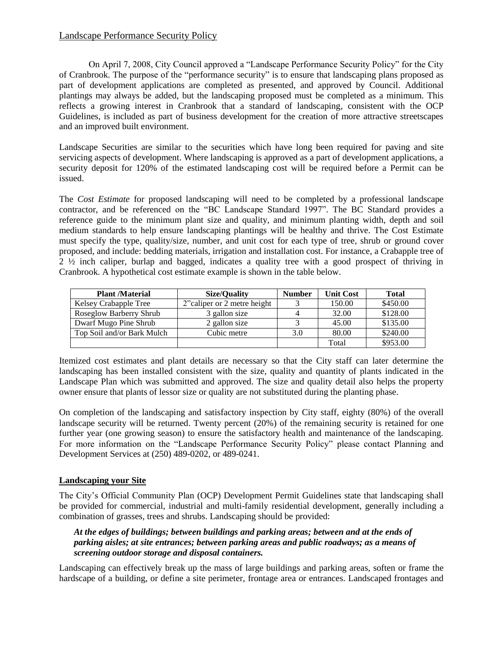# Landscape Performance Security Policy

On April 7, 2008, City Council approved a "Landscape Performance Security Policy" for the City of Cranbrook. The purpose of the "performance security" is to ensure that landscaping plans proposed as part of development applications are completed as presented, and approved by Council. Additional plantings may always be added, but the landscaping proposed must be completed as a minimum. This reflects a growing interest in Cranbrook that a standard of landscaping, consistent with the OCP Guidelines, is included as part of business development for the creation of more attractive streetscapes and an improved built environment.

Landscape Securities are similar to the securities which have long been required for paving and site servicing aspects of development. Where landscaping is approved as a part of development applications, a security deposit for 120% of the estimated landscaping cost will be required before a Permit can be issued.

The *Cost Estimate* for proposed landscaping will need to be completed by a professional landscape contractor, and be referenced on the "BC Landscape Standard 1997". The BC Standard provides a reference guide to the minimum plant size and quality, and minimum planting width, depth and soil medium standards to help ensure landscaping plantings will be healthy and thrive. The Cost Estimate must specify the type, quality/size, number, and unit cost for each type of tree, shrub or ground cover proposed, and include: bedding materials, irrigation and installation cost. For instance, a Crabapple tree of 2 ½ inch caliper, burlap and bagged, indicates a quality tree with a good prospect of thriving in Cranbrook. A hypothetical cost estimate example is shown in the table below.

| <b>Plant /Material</b>       | Size/Ouality                 | <b>Number</b> | <b>Unit Cost</b> | <b>Total</b> |
|------------------------------|------------------------------|---------------|------------------|--------------|
| <b>Kelsey Crabapple Tree</b> | 2" caliper or 2 metre height |               | 150.00           | \$450.00     |
| Roseglow Barberry Shrub      | 3 gallon size                |               | 32.00            | \$128.00     |
| Dwarf Mugo Pine Shrub        | 2 gallon size                |               | 45.00            | \$135.00     |
| Top Soil and/or Bark Mulch   | Cubic metre                  | 3.0           | 80.00            | \$240.00     |
|                              |                              |               | Total            | \$953.00     |

Itemized cost estimates and plant details are necessary so that the City staff can later determine the landscaping has been installed consistent with the size, quality and quantity of plants indicated in the Landscape Plan which was submitted and approved. The size and quality detail also helps the property owner ensure that plants of lessor size or quality are not substituted during the planting phase.

On completion of the landscaping and satisfactory inspection by City staff, eighty (80%) of the overall landscape security will be returned. Twenty percent (20%) of the remaining security is retained for one further year (one growing season) to ensure the satisfactory health and maintenance of the landscaping. For more information on the "Landscape Performance Security Policy" please contact Planning and Development Services at (250) 489-0202, or 489-0241.

### **Landscaping your Site**

The City's Official Community Plan (OCP) Development Permit Guidelines state that landscaping shall be provided for commercial, industrial and multi-family residential development, generally including a combination of grasses, trees and shrubs. Landscaping should be provided:

## *At the edges of buildings; between buildings and parking areas; between and at the ends of parking aisles; at site entrances; between parking areas and public roadways; as a means of screening outdoor storage and disposal containers.*

Landscaping can effectively break up the mass of large buildings and parking areas, soften or frame the hardscape of a building, or define a site perimeter, frontage area or entrances. Landscaped frontages and